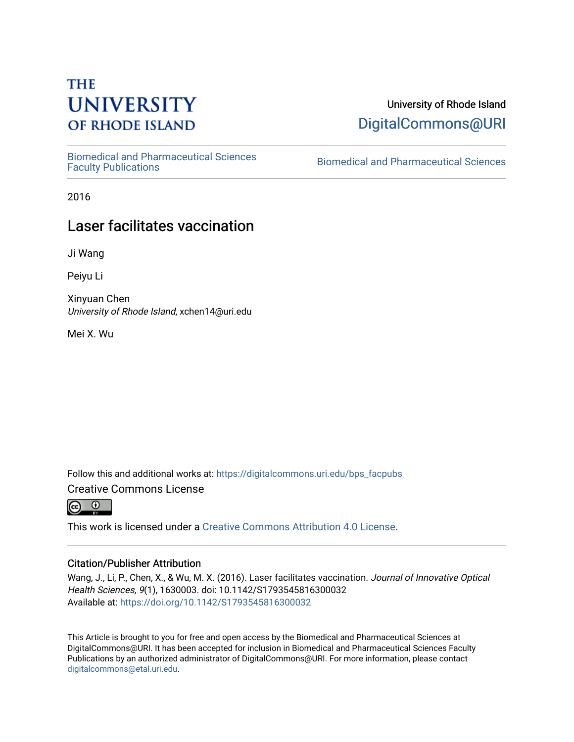# **THE UNIVERSITY OF RHODE ISLAND**

[Biomedical and Pharmaceutical Sciences](https://digitalcommons.uri.edu/bps_facpubs) 

University of Rhode Island [DigitalCommons@URI](https://digitalcommons.uri.edu/) 

Biomedical and Pharmaceutical Sciences

2016

## Laser facilitates vaccination

Ji Wang

Peiyu Li

Xinyuan Chen University of Rhode Island, xchen14@uri.edu

Mei X. Wu

Follow this and additional works at: [https://digitalcommons.uri.edu/bps\\_facpubs](https://digitalcommons.uri.edu/bps_facpubs?utm_source=digitalcommons.uri.edu%2Fbps_facpubs%2F101&utm_medium=PDF&utm_campaign=PDFCoverPages)

Creative Commons License

 $\odot$   $\odot$ 

This work is licensed under a [Creative Commons Attribution 4.0 License](https://creativecommons.org/licenses/by/4.0/).

#### Citation/Publisher Attribution

Wang, J., Li, P., Chen, X., & Wu, M. X. (2016). Laser facilitates vaccination. Journal of Innovative Optical Health Sciences, 9(1), 1630003. doi: 10.1142/S1793545816300032 Available at:<https://doi.org/10.1142/S1793545816300032>

This Article is brought to you for free and open access by the Biomedical and Pharmaceutical Sciences at DigitalCommons@URI. It has been accepted for inclusion in Biomedical and Pharmaceutical Sciences Faculty Publications by an authorized administrator of DigitalCommons@URI. For more information, please contact [digitalcommons@etal.uri.edu](mailto:digitalcommons@etal.uri.edu).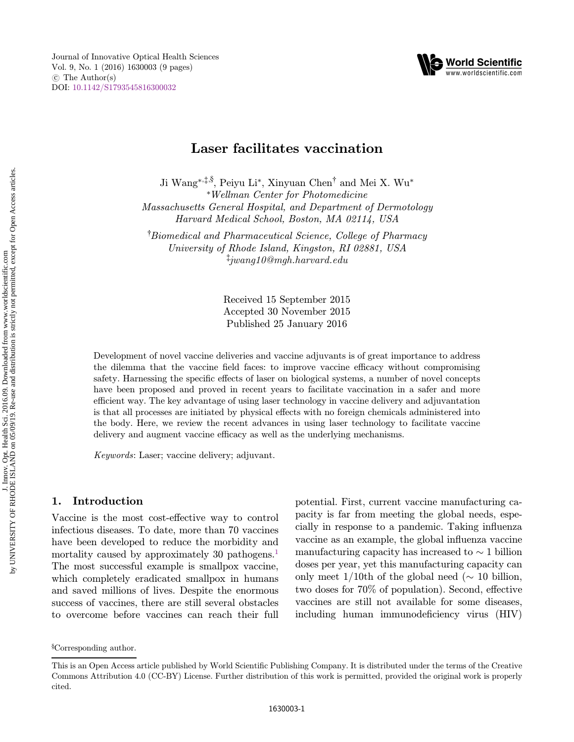



## Laser facilitates vaccination

Ji Wang\*,<sup>†,§</sup>, Peiyu Li\*, Xinyuan Chen<sup>†</sup> and Mei X. Wu\* \*Wellman Center for Photomedicine Massachusetts General Hospital, and Department of Dermotology Harvard Medical School, Boston, MA 02114, USA

† Biomedical and Pharmaceutical Science, College of Pharmacy University of Rhode Island, Kingston, RI 02881, USA ‡ jwang10@mgh.harvard.edu

> Received 15 September 2015 Accepted 30 November 2015 Published 25 January 2016

Development of novel vaccine deliveries and vaccine adjuvants is of great importance to address the dilemma that the vaccine field faces: to improve vaccine efficacy without compromising safety. Harnessing the specific effects of laser on biological systems, a number of novel concepts have been proposed and proved in recent years to facilitate vaccination in a safer and more efficient way. The key advantage of using laser technology in vaccine delivery and adjuvantation is that all processes are initiated by physical effects with no foreign chemicals administered into the body. Here, we review the recent advances in using laser technology to facilitate vaccine delivery and augment vaccine efficacy as well as the underlying mechanisms.

Keywords: Laser; vaccine delivery; adjuvant.

#### 1. Introduction

Vaccine is the most cost-effective way to control infectious diseases. To date, more than 70 vaccines have been developed to reduce the morbidity and mortality caused by approximately 30 pathogens.<sup>1</sup> The most successful example is smallpox vaccine, which completely eradicated smallpox in humans and saved millions of lives. Despite the enormous success of vaccines, there are still several obstacles to overcome before vaccines can reach their full potential. First, current vaccine manufacturing capacity is far from meeting the global needs, especially in response to a pandemic. Taking influenza vaccine as an example, the global influenza vaccine manufacturing capacity has increased to  $\sim$  1 billion doses per year, yet this manufacturing capacity can only meet  $1/10$ th of the global need ( $\sim 10$  billion, two doses for  $70\%$  of population). Second, effective vaccines are still not available for some diseases, including human immunodeficiency virus (HIV)

<sup>§</sup> Corresponding author.

This is an Open Access article published by World Scientific Publishing Company. It is distributed under the terms of the Creative Commons Attribution 4.0 (CC-BY) License. Further distribution of this work is permitted, provided the original work is properly cited.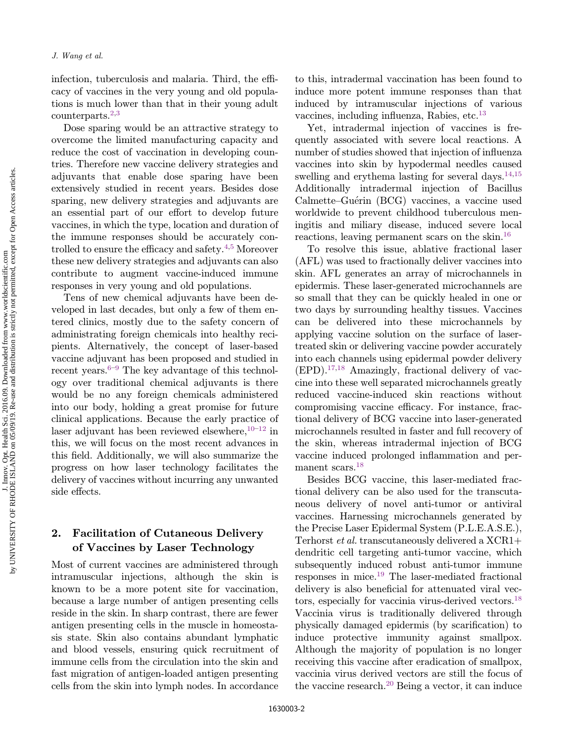infection, tuberculosis and malaria. Third, the efficacy of vaccines in the very young and old populations is much lower than that in their young adult counterparts.<sup>[2,3](#page-7-0)</sup>

Dose sparing would be an attractive strategy to overcome the limited manufacturing capacity and reduce the cost of vaccination in developing countries. Therefore new vaccine delivery strategies and adjuvants that enable dose sparing have been extensively studied in recent years. Besides dose sparing, new delivery strategies and adjuvants are an essential part of our effort to develop future vaccines, in which the type, location and duration of the immune responses should be accurately con-trolled to ensure the efficacy and safety.<sup>4,[5](#page-7-0)</sup> Moreover these new delivery strategies and adjuvants can also contribute to augment vaccine-induced immune responses in very young and old populations.

Tens of new chemical adjuvants have been developed in last decades, but only a few of them entered clinics, mostly due to the safety concern of administrating foreign chemicals into healthy recipients. Alternatively, the concept of laser-based vaccine adjuvant has been proposed and studied in recent years. $6-9$  $6-9$  $6-9$  The key advantage of this technology over traditional chemical adjuvants is there would be no any foreign chemicals administered into our body, holding a great promise for future clinical applications. Because the early practice of laser adjuvant has been reviewed elsewhere,  $10^{-12}$  $10^{-12}$  $10^{-12}$  $10^{-12}$  in this, we will focus on the most recent advances in this field. Additionally, we will also summarize the progress on how laser technology facilitates the delivery of vaccines without incurring any unwanted side effects.

### 2. Facilitation of Cutaneous Delivery of Vaccines by Laser Technology

Most of current vaccines are administered through intramuscular injections, although the skin is known to be a more potent site for vaccination, because a large number of antigen presenting cells reside in the skin. In sharp contrast, there are fewer antigen presenting cells in the muscle in homeostasis state. Skin also contains abundant lymphatic and blood vessels, ensuring quick recruitment of immune cells from the circulation into the skin and fast migration of antigen-loaded antigen presenting cells from the skin into lymph nodes. In accordance to this, intradermal vaccination has been found to induce more potent immune responses than that induced by intramuscular injections of various vaccines, including influenza, Rabies, etc.<sup>[13](#page-7-0)</sup>

Yet, intradermal injection of vaccines is frequently associated with severe local reactions. A number of studies showed that injection of influenza vaccines into skin by hypodermal needles caused swelling and erythema lasting for several days.  $14,15$  $14,15$ Additionally intradermal injection of Bacillus Calmette–Guérin (BCG) vaccines, a vaccine used worldwide to prevent childhood tuberculous meningitis and miliary disease, induced severe local reactions, leaving permanent scars on the skin[.16](#page-7-0)

To resolve this issue, ablative fractional laser (AFL) was used to fractionally deliver vaccines into skin. AFL generates an array of microchannels in epidermis. These laser-generated microchannels are so small that they can be quickly healed in one or two days by surrounding healthy tissues. Vaccines can be delivered into these microchannels by applying vaccine solution on the surface of lasertreated skin or delivering vaccine powder accurately into each channels using epidermal powder delivery  $(EPD)$ .<sup>17,18</sup> Amazingly, fractional delivery of vaccine into these well separated microchannels greatly reduced vaccine-induced skin reactions without compromising vaccine efficacy. For instance, fractional delivery of BCG vaccine into laser-generated microchannels resulted in faster and full recovery of the skin, whereas intradermal injection of BCG vaccine induced prolonged inflammation and per-manent scars.<sup>[18](#page-8-0)</sup>

Besides BCG vaccine, this laser-mediated fractional delivery can be also used for the transcutaneous delivery of novel anti-tumor or antiviral vaccines. Harnessing microchannels generated by the Precise Laser Epidermal System (P.L.E.A.S.E.), Terhorst et al. transcutaneously delivered a XCR1+ dendritic cell targeting anti-tumor vaccine, which subsequently induced robust anti-tumor immune responses in mice[.19](#page-8-0) The laser-mediated fractional delivery is also beneficial for attenuated viral vectors, especially for vaccinia virus-derived vectors.[18](#page-8-0) Vaccinia virus is traditionally delivered through physically damaged epidermis (by scarification) to induce protective immunity against smallpox. Although the majority of population is no longer receiving this vaccine after eradication of smallpox, vaccinia virus derived vectors are still the focus of the vaccine research.[20](#page-8-0) Being a vector, it can induce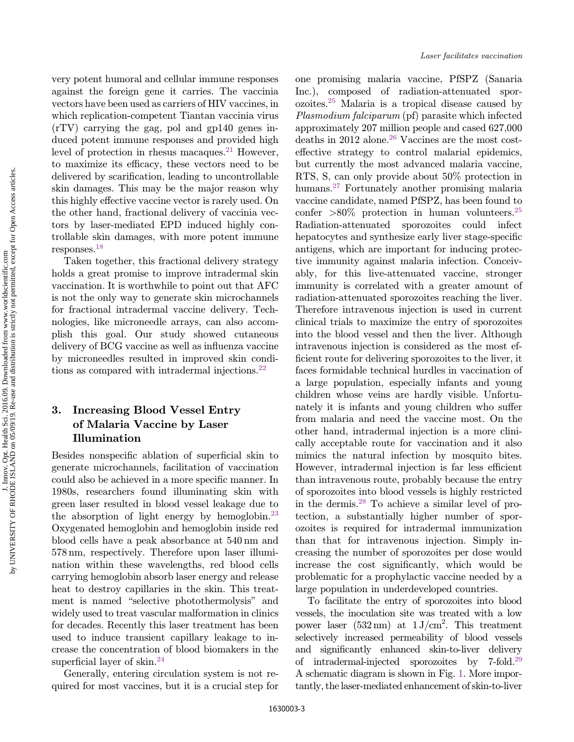by UNIVERSITY OF RHODE ISLAND on 05/09/19. Re-use and distribution is strictly not permitted, except for Open Access articles.by UNIVERSITY OF RHODE ISLAND on 05/09/19. Re-use and distribution is strictly not permitted, except for Open Access articles J. Innov. Opt. Health Sci. 2016.09. Downloaded from www.worldscientific.com

very potent humoral and cellular immune responses against the foreign gene it carries. The vaccinia vectors have been used as carriers of HIV vaccines, in which replication-competent Tiantan vaccinia virus (rTV) carrying the gag, pol and gp140 genes induced potent immune responses and provided high level of protection in rhesus macaques. $21$  However, to maximize its efficacy, these vectors need to be delivered by scarification, leading to uncontrollable skin damages. This may be the major reason why this highly effective vaccine vector is rarely used. On the other hand, fractional delivery of vaccinia vectors by laser-mediated EPD induced highly controllable skin damages, with more potent immune responses[.18](#page-8-0)

Taken together, this fractional delivery strategy holds a great promise to improve intradermal skin vaccination. It is worthwhile to point out that AFC is not the only way to generate skin microchannels for fractional intradermal vaccine delivery. Technologies, like microneedle arrays, can also accomplish this goal. Our study showed cutaneous delivery of BCG vaccine as well as influenza vaccine by microneedles resulted in improved skin conditions as compared with intradermal injections.[22](#page-8-0)

## 3. Increasing Blood Vessel Entry of Malaria Vaccine by Laser Illumination

Besides nonspecific ablation of superficial skin to generate microchannels, facilitation of vaccination could also be achieved in a more specific manner. In 1980s, researchers found illuminating skin with green laser resulted in blood vessel leakage due to the absorption of light energy by hemoglobin.[23](#page-8-0) Oxygenated hemoglobin and hemoglobin inside red blood cells have a peak absorbance at 540 nm and 578 nm, respectively. Therefore upon laser illumination within these wavelengths, red blood cells carrying hemoglobin absorb laser energy and release heat to destroy capillaries in the skin. This treatment is named "selective photothermolysis" and widely used to treat vascular malformation in clinics for decades. Recently this laser treatment has been used to induce transient capillary leakage to increase the concentration of blood biomakers in the superficial layer of skin. $24$ 

Generally, entering circulation system is not required for most vaccines, but it is a crucial step for

one promising malaria vaccine, PfSPZ (Sanaria Inc.), composed of radiation-attenuated sporozoites.[25](#page-8-0) Malaria is a tropical disease caused by Plasmodium falciparum (pf) parasite which infected approximately 207 million people and cased 627,000 deaths in 2012 alone. $26$  Vaccines are the most costeffective strategy to control malarial epidemics, but currently the most advanced malaria vaccine, RTS, S, can only provide about 50% protection in humans.[27](#page-8-0) Fortunately another promising malaria vaccine candidate, named PfSPZ, has been found to confer  $>80\%$  protection in human volunteers.<sup>[25](#page-8-0)</sup> Radiation-attenuated sporozoites could infect hepatocytes and synthesize early liver stage-specific antigens, which are important for inducing protective immunity against malaria infection. Conceivably, for this live-attenuated vaccine, stronger immunity is correlated with a greater amount of radiation-attenuated sporozoites reaching the liver. Therefore intravenous injection is used in current clinical trials to maximize the entry of sporozoites into the blood vessel and then the liver. Although intravenous injection is considered as the most ef ficient route for delivering sporozoites to the liver, it faces formidable technical hurdles in vaccination of a large population, especially infants and young children whose veins are hardly visible. Unfortunately it is infants and young children who suffer from malaria and need the vaccine most. On the other hand, intradermal injection is a more clinically acceptable route for vaccination and it also mimics the natural infection by mosquito bites. However, intradermal injection is far less efficient than intravenous route, probably because the entry of sporozoites into blood vessels is highly restricted in the dermis.[28](#page-8-0) To achieve a similar level of protection, a substantially higher number of sporozoites is required for intradermal immunization than that for intravenous injection. Simply increasing the number of sporozoites per dose would increase the cost significantly, which would be problematic for a prophylactic vaccine needed by a large population in underdeveloped countries.

To facilitate the entry of sporozoites into blood vessels, the inoculation site was treated with a low power laser  $(532 \text{ nm})$  at  $1 \text{ J/cm}^2$ . This treatment selectively increased permeability of blood vessels and significantly enhanced skin-to-liver delivery of intradermal-injected sporozoites by 7-fold[.29](#page-8-0) A schematic diagram is shown in Fig. [1](#page-4-0). More importantly, the laser-mediated enhancement of skin-to-liver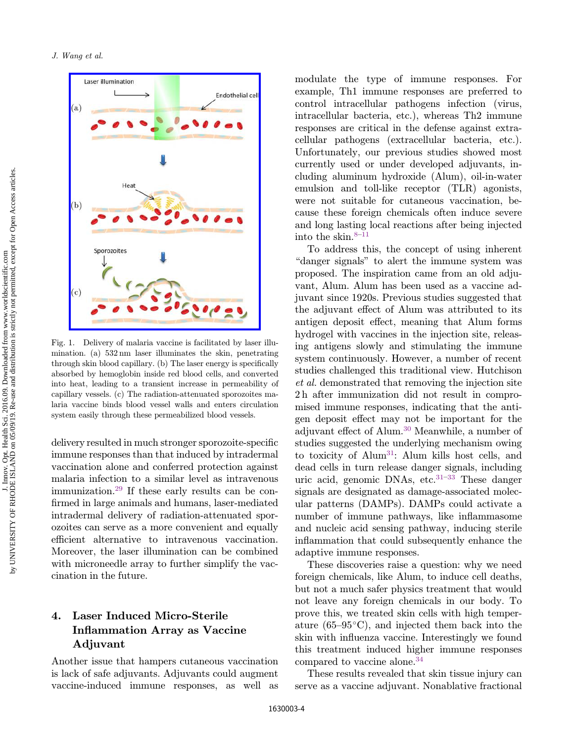<span id="page-4-0"></span>

Fig. 1. Delivery of malaria vaccine is facilitated by laser illumination. (a) 532 nm laser illuminates the skin, penetrating  $through skin blood capillary.$  (b) The laser energy is specifically absorbed by hemoglobin inside red blood cells, and converted into heat, leading to a transient increase in permeability of capillary vessels. (c) The radiation-attenuated sporozoites malaria vaccine binds blood vessel walls and enters circulation system easily through these permeabilized blood vessels.

delivery resulted in much stronger sporozoite-specific immune responses than that induced by intradermal vaccination alone and conferred protection against malaria infection to a similar level as intravenous immunization.[29](#page-8-0) If these early results can be con firmed in large animals and humans, laser-mediated intradermal delivery of radiation-attenuated sporozoites can serve as a more convenient and equally efficient alternative to intravenous vaccination. Moreover, the laser illumination can be combined with microneedle array to further simplify the vaccination in the future.

## 4. Laser Induced Micro-Sterile Inflammation Array as Vaccine Adjuvant

Another issue that hampers cutaneous vaccination is lack of safe adjuvants. Adjuvants could augment vaccine-induced immune responses, as well as

modulate the type of immune responses. For example, Th1 immune responses are preferred to control intracellular pathogens infection (virus, intracellular bacteria, etc.), whereas Th2 immune responses are critical in the defense against extracellular pathogens (extracellular bacteria, etc.). Unfortunately, our previous studies showed most currently used or under developed adjuvants, including aluminum hydroxide (Alum), oil-in-water emulsion and toll-like receptor (TLR) agonists, were not suitable for cutaneous vaccination, because these foreign chemicals often induce severe and long lasting local reactions after being injected into the skin. $8-11$  $8-11$  $8-11$ 

To address this, the concept of using inherent "danger signals" to alert the immune system was proposed. The inspiration came from an old adjuvant, Alum. Alum has been used as a vaccine adjuvant since 1920s. Previous studies suggested that the adjuvant effect of Alum was attributed to its antigen deposit effect, meaning that Alum forms hydrogel with vaccines in the injection site, releasing antigens slowly and stimulating the immune system continuously. However, a number of recent studies challenged this traditional view. Hutchison et al. demonstrated that removing the injection site 2 h after immunization did not result in compromised immune responses, indicating that the antigen deposit effect may not be important for the adjuvant effect of Alum.<sup>[30](#page-8-0)</sup> Meanwhile, a number of studies suggested the underlying mechanism owing to toxicity of  $\text{Alum}^{31}$ : Alum kills host cells, and dead cells in turn release danger signals, including uric acid, genomic DNAs, etc. $31-33$  $31-33$  $31-33$  These danger signals are designated as damage-associated molecular patterns (DAMPs). DAMPs could activate a number of immune pathways, like inflammasome and nucleic acid sensing pathway, inducing sterile inflammation that could subsequently enhance the adaptive immune responses.

These discoveries raise a question: why we need foreign chemicals, like Alum, to induce cell deaths, but not a much safer physics treatment that would not leave any foreign chemicals in our body. To prove this, we treated skin cells with high temperature (65–95 $\degree$ C), and injected them back into the skin with influenza vaccine. Interestingly we found this treatment induced higher immune responses compared to vaccine alone.[34](#page-8-0)

These results revealed that skin tissue injury can serve as a vaccine adjuvant. Nonablative fractional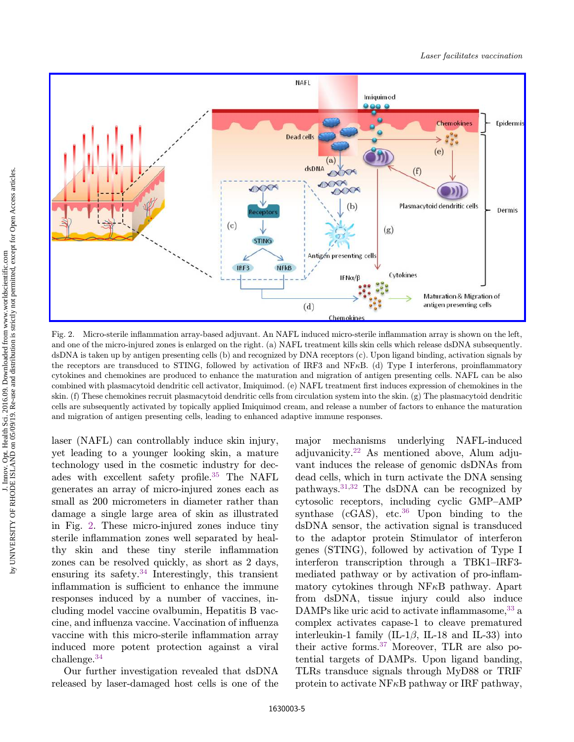<span id="page-5-0"></span>

Fig. 2. Micro-sterile inflammation array-based adjuvant. An NAFL induced micro-sterile inflammation array is shown on the left, and one of the micro-injured zones is enlarged on the right. (a) NAFL treatment kills skin cells which release dsDNA subsequently. dsDNA is taken up by antigen presenting cells (b) and recognized by DNA receptors (c). Upon ligand binding, activation signals by the receptors are transduced to STING, followed by activation of IRF3 and NF $\kappa$ B. (d) Type I interferons, proinflammatory cytokines and chemokines are produced to enhance the maturation and migration of antigen presenting cells. NAFL can be also combined with plasmacytoid dendritic cell activator, Imiquimod. (e) NAFL treatment first induces expression of chemokines in the skin. (f) These chemokines recruit plasmacytoid dendritic cells from circulation system into the skin. (g) The plasmacytoid dendritic cells are subsequently activated by topically applied Imiquimod cream, and release a number of factors to enhance the maturation and migration of antigen presenting cells, leading to enhanced adaptive immune responses.

laser (NAFL) can controllably induce skin injury, yet leading to a younger looking skin, a mature technology used in the cosmetic industry for dec-ades with excellent safety profile.<sup>[35](#page-8-0)</sup> The NAFL generates an array of micro-injured zones each as small as 200 micrometers in diameter rather than damage a single large area of skin as illustrated in Fig. 2. These micro-injured zones induce tiny sterile inflammation zones well separated by healthy skin and these tiny sterile inflammation zones can be resolved quickly, as short as 2 days, ensuring its safety. $34$  Interestingly, this transient inflammation is sufficient to enhance the immune responses induced by a number of vaccines, including model vaccine ovalbumin, Hepatitis B vaccine, and influenza vaccine. Vaccination of influenza vaccine with this micro-sterile inflammation array induced more potent protection against a viral challenge[.34](#page-8-0)

Our further investigation revealed that dsDNA released by laser-damaged host cells is one of the major mechanisms underlying NAFL-induced adjuvanicity.[22](#page-8-0) As mentioned above, Alum adjuvant induces the release of genomic dsDNAs from dead cells, which in turn activate the DNA sensing pathways[.31](#page-8-0),[32](#page-8-0) The dsDNA can be recognized by cytosolic receptors, including cyclic GMP–AMP synthase ( $cGAS$ ), etc.<sup>[36](#page-8-0)</sup> Upon binding to the dsDNA sensor, the activation signal is transduced to the adaptor protein Stimulator of interferon genes (STING), followed by activation of Type I interferon transcription through a TBK1–IRF3 mediated pathway or by activation of pro-inflammatory cytokines through  $NFAB$  pathway. Apart from dsDNA, tissue injury could also induce DAMPs like uric acid to activate inflammasome,  $33$  a complex activates capase-1 to cleave prematured interleukin-1 family (IL-1 $\beta$ , IL-18 and IL-33) into their active forms.[37](#page-8-0) Moreover, TLR are also potential targets of DAMPs. Upon ligand banding, TLRs transduce signals through MyD88 or TRIF protein to activate  $N$ F $\kappa$ B pathway or IRF pathway,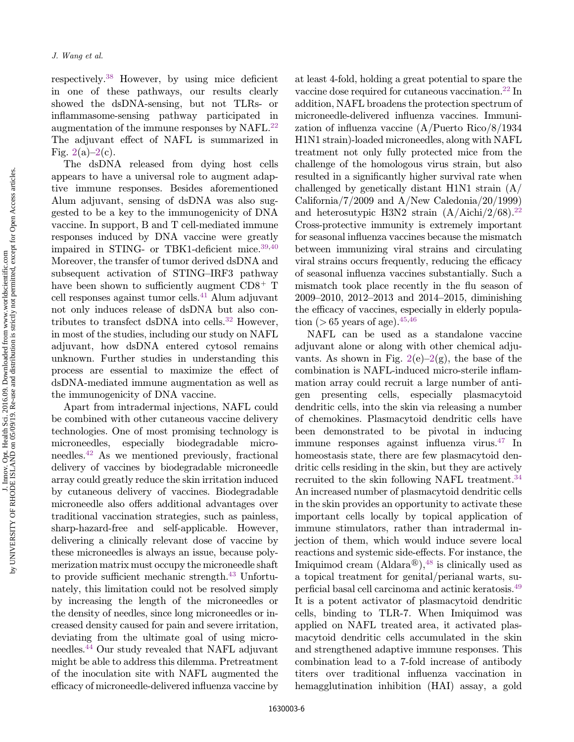respectively.<sup>[38](#page-9-0)</sup> However, by using mice deficient in one of these pathways, our results clearly showed the dsDNA-sensing, but not TLRs- or inflammasome-sensing pathway participated in augmentation of the immune responses by NAFL.[22](#page-8-0) The adjuvant effect of NAFL is summarized in Fig.  $2(a)-2(c)$  $2(a)-2(c)$ .

The dsDNA released from dying host cells appears to have a universal role to augment adaptive immune responses. Besides aforementioned Alum adjuvant, sensing of dsDNA was also suggested to be a key to the immunogenicity of DNA vaccine. In support, B and T cell-mediated immune responses induced by DNA vaccine were greatly impaired in STING- or TBK1-deficient mice.<sup>39,[40](#page-9-0)</sup> Moreover, the transfer of tumor derived dsDNA and subsequent activation of STING–IRF3 pathway have been shown to sufficiently augment  $CD8<sup>+</sup>$  T cell responses against tumor cells.<sup>[41](#page-9-0)</sup> Alum adjuvant not only induces release of dsDNA but also con-tributes to transfect dsDNA into cells.<sup>[32](#page-8-0)</sup> However, in most of the studies, including our study on NAFL adjuvant, how dsDNA entered cytosol remains unknown. Further studies in understanding this process are essential to maximize the effect of dsDNA-mediated immune augmentation as well as the immunogenicity of DNA vaccine.

Apart from intradermal injections, NAFL could be combined with other cutaneous vaccine delivery technologies. One of most promising technology is microneedles, especially biodegradable microneedles[.42](#page-9-0) As we mentioned previously, fractional delivery of vaccines by biodegradable microneedle array could greatly reduce the skin irritation induced by cutaneous delivery of vaccines. Biodegradable microneedle also offers additional advantages over traditional vaccination strategies, such as painless, sharp-hazard-free and self-applicable. However, delivering a clinically relevant dose of vaccine by these microneedles is always an issue, because polymerization matrix must occupy the microneedle shaft to provide sufficient mechanic strength. $43$  Unfortunately, this limitation could not be resolved simply by increasing the length of the microneedles or the density of needles, since long microneedles or increased density caused for pain and severe irritation, deviating from the ultimate goal of using microneedles[.44](#page-9-0) Our study revealed that NAFL adjuvant might be able to address this dilemma. Pretreatment of the inoculation site with NAFL augmented the efficacy of microneedle-delivered influenza vaccine by at least 4-fold, holding a great potential to spare the vaccine dose required for cutaneous vaccination[.22](#page-8-0) In addition, NAFL broadens the protection spectrum of microneedle-delivered influenza vaccines. Immunization of influenza vaccine  $(A/Pu$ erto Rico/8/1934 H1N1 strain)-loaded microneedles, along with NAFL treatment not only fully protected mice from the challenge of the homologous virus strain, but also resulted in a significantly higher survival rate when challenged by genetically distant H1N1 strain (A/ California/7/2009 and A/New Caledonia/20/1999) and heterosutypic H3N2 strain  $(A/Aichi/2/68).^{22}$  $(A/Aichi/2/68).^{22}$  $(A/Aichi/2/68).^{22}$ Cross-protective immunity is extremely important for seasonal influenza vaccines because the mismatch between immunizing viral strains and circulating viral strains occurs frequently, reducing the efficacy of seasonal influenza vaccines substantially. Such a mismatch took place recently in the flu season of 2009–2010, 2012–2013 and 2014–2015, diminishing the efficacy of vaccines, especially in elderly population ( $> 65$  years of age).<sup>45,[46](#page-9-0)</sup>

NAFL can be used as a standalone vaccine adjuvant alone or along with other chemical adjuvants. As shown in Fig.  $2(e)-2(g)$  $2(e)-2(g)$ , the base of the combination is NAFL-induced micro-sterile inflammation array could recruit a large number of antigen presenting cells, especially plasmacytoid dendritic cells, into the skin via releasing a number of chemokines. Plasmacytoid dendritic cells have been demonstrated to be pivotal in inducing immune responses against influenza virus.<sup>[47](#page-9-0)</sup> In homeostasis state, there are few plasmacytoid dendritic cells residing in the skin, but they are actively recruited to the skin following NAFL treatment.<sup>[34](#page-8-0)</sup> An increased number of plasmacytoid dendritic cells in the skin provides an opportunity to activate these important cells locally by topical application of immune stimulators, rather than intradermal injection of them, which would induce severe local reactions and systemic side-effects. For instance, the Imiquimod cream  $(Aldara^{\circledR})$ ,<sup>[48](#page-9-0)</sup> is clinically used as a topical treatment for genital/perianal warts, su-perficial basal cell carcinoma and actinic keratosis.<sup>[49](#page-9-0)</sup> It is a potent activator of plasmacytoid dendritic cells, binding to TLR-7. When Imiquimod was applied on NAFL treated area, it activated plasmacytoid dendritic cells accumulated in the skin and strengthened adaptive immune responses. This combination lead to a 7-fold increase of antibody titers over traditional influenza vaccination in hemagglutination inhibition (HAI) assay, a gold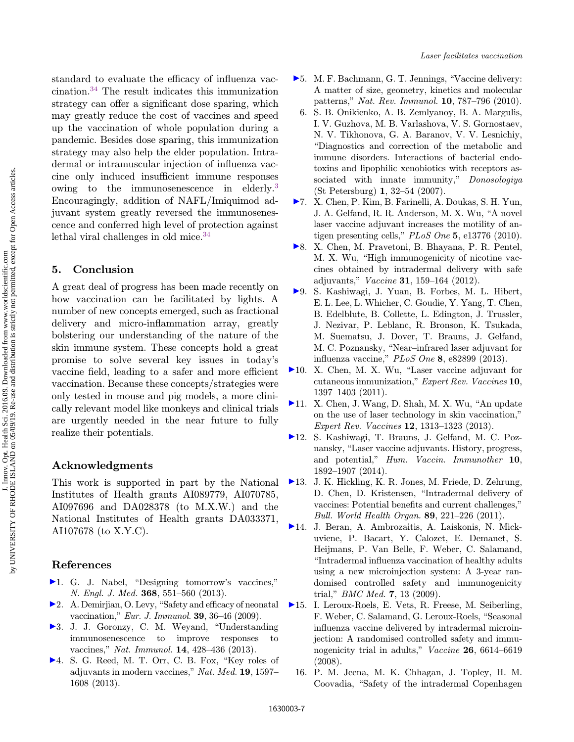<span id="page-7-0"></span>standard to evaluate the efficacy of influenza vaccination[.34](#page-8-0) The result indicates this immunization strategy can offer a significant dose sparing, which may greatly reduce the cost of vaccines and speed up the vaccination of whole population during a pandemic. Besides dose sparing, this immunization strategy may also help the elder population. Intradermal or intramuscular injection of influenza vaccine only induced insufficient immune responses owing to the immunosenescence in elderly.<sup>3</sup> Encouragingly, addition of NAFL/Imiquimod adjuvant system greatly reversed the immunosenescence and conferred high level of protection against lethal viral challenges in old mice.<sup>34</sup>

#### 5. Conclusion

A great deal of progress has been made recently on how vaccination can be facilitated by lights. A number of new concepts emerged, such as fractional delivery and micro-inflammation array, greatly bolstering our understanding of the nature of the skin immune system. These concepts hold a great promise to solve several key issues in today's vaccine field, leading to a safer and more efficient vaccination. Because these concepts/strategies were only tested in mouse and pig models, a more clinically relevant model like monkeys and clinical trials are urgently needed in the near future to fully realize their potentials.

#### Acknowledgments

This work is supported in part by the National Institutes of Health grants AI089779, AI070785, AI097696 and DA028378 (to M.X.W.) and the National Institutes of Health grants DA033371, AI107678 (to X.Y.C).

#### References

- $\blacktriangleright$  1. G. J. Nabel, "Designing tomorrow's vaccines," N. Engl. J. Med. 368, 551–560 (2013).
- $\triangleright$  2. A. Demirjian, O. Levy, "Safety and efficacy of neonatal vaccination," Eur. J. Immunol. 39, 36–46 (2009).
- >3. J. J. Goronzy, C. M. Weyand, "Understanding immunosenescence to improve responses to vaccines," Nat. Immunol. 14, 428–436 (2013).
- $\blacktriangleright$  4. S. G. Reed, M. T. Orr, C. B. Fox, "Key roles of adjuvants in modern vaccines," Nat. Med. 19, 1597– 1608 (2013).
- $\blacktriangleright$  5. M. F. Bachmann, G. T. Jennings, "Vaccine delivery: A matter of size, geometry, kinetics and molecular patterns," Nat. Rev. Immunol. 10, 787–796 (2010).
- 6. S. B. Onikienko, A. B. Zemlyanoy, B. A. Margulis, I. V. Guzhova, M. B. Varlashova, V. S. Gornostaev, N. V. Tikhonova, G. A. Baranov, V. V. Lesnichiy, \Diagnostics and correction of the metabolic and immune disorders. Interactions of bacterial endotoxins and lipophilic xenobiotics with receptors associated with innate immunity," Donosologiya (St Petersburg) 1, 32–54 (2007).
- 7. X. Chen, P. Kim, B. Farinelli, A. Doukas, S. H. Yun, J. A. Gelfand, R. R. Anderson, M. X. Wu, "A novel laser vaccine adjuvant increases the motility of antigen presenting cells,"  $PLoS$  One 5, e13776 (2010).
- 8. X. Chen, M. Pravetoni, B. Bhayana, P. R. Pentel, M. X. Wu, "High immunogenicity of nicotine vaccines obtained by intradermal delivery with safe adjuvants," Vaccine 31, 159–164 (2012).
- 9. S. Kashiwagi, J. Yuan, B. Forbes, M. L. Hibert, E. L. Lee, L. Whicher, C. Goudie, Y. Yang, T. Chen, B. Edelblute, B. Collette, L. Edington, J. Trussler, J. Nezivar, P. Leblanc, R. Bronson, K. Tsukada, M. Suematsu, J. Dover, T. Brauns, J. Gelfand, M. C. Poznansky, "Near–infrared laser adjuvant for influenza vaccine,"  $PLoS$  One 8, e82899 (2013).
- $\blacktriangleright$ 10. X. Chen, M. X. Wu, "Laser vaccine adjuvant for cutaneous immunization," Expert Rev. Vaccines 10, 1397–1403 (2011).
- $\blacktriangleright$ 11. X. Chen, J. Wang, D. Shah, M. X. Wu, "An update on the use of laser technology in skin vaccination," Expert Rev. Vaccines 12, 1313–1323 (2013).
- 12. S. Kashiwagi, T. Brauns, J. Gelfand, M. C. Poznansky, "Laser vaccine adjuvants. History, progress, and potential," Hum. Vaccin. Immunother 10, 1892–1907 (2014).
- 13. J. K. Hickling, K. R. Jones, M. Friede, D. Zehrung, D. Chen, D. Kristensen, \Intradermal delivery of vaccines: Potential benefits and current challenges," Bull. World Health Organ. 89, 221–226 (2011).
- 14. J. Beran, A. Ambrozaitis, A. Laiskonis, N. Mickuviene, P. Bacart, Y. Calozet, E. Demanet, S. Heijmans, P. Van Belle, F. Weber, C. Salamand, \Intradermal in°uenza vaccination of healthy adults using a new microinjection system: A 3-year randomised controlled safety and immunogenicity trial," *BMC Med.* 7, 13 (2009).
- 15. I. Leroux-Roels, E. Vets, R. Freese, M. Seiberling, F. Weber, C. Salamand, G. Leroux-Roels, "Seasonal influenza vaccine delivered by intradermal microinjection: A randomised controlled safety and immunogenicity trial in adults," Vaccine 26, 6614–6619 (2008).
	- 16. P. M. Jeena, M. K. Chhagan, J. Topley, H. M. Coovadia, "Safety of the intradermal Copenhagen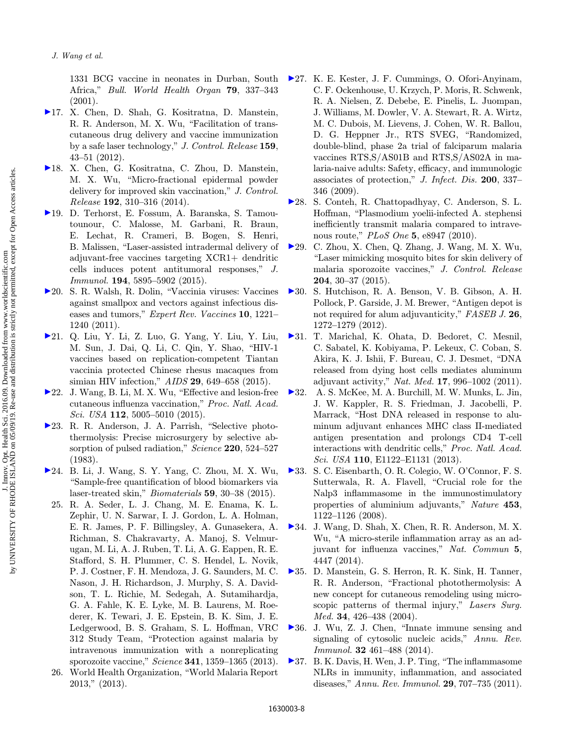<span id="page-8-0"></span>1331 BCG vaccine in neonates in Durban, South Africa," Bull. World Health Organ 79, 337–343 (2001).

- [1](http://www.worldscientific.com/action/showLinks?crossref=10.1016%2Fj.jconrel.2012.01.002&isi=000303734400006)7. X. Chen, D. Shah, G. Kositratna, D. Manstein, R. R. Anderson, M. X. Wu, "Facilitation of transcutaneous drug delivery and vaccine immunization by a safe laser technology," J. Control. Release 159, 43–51 (2012).
- [1](http://www.worldscientific.com/action/showLinks?crossref=10.1016%2Fj.jconrel.2014.08.006&isi=000342460400035)8. X. Chen, G. Kositratna, C. Zhou, D. Manstein, M. X. Wu, "Micro-fractional epidermal powder delivery for improved skin vaccination," J. Control. Release 192, 310–316 (2014).
- [1](http://www.worldscientific.com/action/showLinks?crossref=10.4049%2Fjimmunol.1500564&isi=000355757800035)9. D. Terhorst, E. Fossum, A. Baranska, S. Tamoutounour, C. Malosse, M. Garbani, R. Braun, E. Lechat, R. Crameri, B. Bogen, S. Henri, B. Malissen, "Laser-assisted intradermal delivery of adjuvant-free vaccines targeting  $XCR1+$  dendritic cells induces potent antitumoral responses," J. Immunol. 194, 5895–5902 (2015).
- ▶ [2](http://www.worldscientific.com/action/showLinks?crossref=10.1586%2Ferv.11.79&isi=000296609200018)0. S. R. Walsh, R. Dolin, "Vaccinia viruses: Vaccines against smallpox and vectors against infectious diseases and tumors," Expert Rev. Vaccines 10, 1221– 1240 (2011).
- [2](http://www.worldscientific.com/action/showLinks?crossref=10.1097%2FQAD.0000000000000595&isi=000351688200002)1. Q. Liu, Y. Li, Z. Luo, G. Yang, Y. Liu, Y. Liu, M. Sun, J. Dai, Q. Li, C. Qin, Y. Shao, \HIV-1 vaccines based on replication-competent Tiantan vaccinia protected Chinese rhesus macaques from simian HIV infection," AIDS 29, 649–658 (2015).
- $\blacktriangleright$  [2](http://www.worldscientific.com/action/showLinks?crossref=10.1073%2Fpnas.1500408112&isi=000353239100054)2. J. Wang, B. Li, M. X. Wu, "Effective and lesion-free cutaneous influenza vaccination," Proc. Natl. Acad. *Sci. USA* **112**, 5005–5010  $(2015)$ .
- $\blacktriangleright$  [2](http://www.worldscientific.com/action/showLinks?crossref=10.1126%2Fscience.6836297&isi=A1983QL86100036)3. R. R. Anderson, J. A. Parrish, "Selective photothermolysis: Precise microsurgery by selective absorption of pulsed radiation," Science 220, 524-527 (1983).
- [2](http://www.worldscientific.com/action/showLinks?crossref=10.1016%2Fj.biomaterials.2015.04.040&isi=000356122700004)4. B. Li, J. Wang, S. Y. Yang, C. Zhou, M. X. Wu, "Sample-free quantification of blood biomarkers via laser-treated skin," Biomaterials 59, 30–38 (2015).
	- 25. R. A. Seder, L. J. Chang, M. E. Enama, K. L. Zephir, U. N. Sarwar, I. J. Gordon, L. A. Holman, E. R. James, P. F. Billingsley, A. Gunasekera, A. Richman, S. Chakravarty, A. Manoj, S. Velmurugan, M. Li, A. J. Ruben, T. Li, A. G. Eappen, R. E. Stafford, S. H. Plummer, C. S. Hendel, L. Novik, P. J. Costner, F. H. Mendoza, J. G. Saunders, M. C. Nason, J. H. Richardson, J. Murphy, S. A. Davidson, T. L. Richie, M. Sedegah, A. Sutamihardja, G. A. Fahle, K. E. Lyke, M. B. Laurens, M. Roederer, K. Tewari, J. E. Epstein, B. K. Sim, J. E. Ledgerwood, B. S. Graham, S. L. Hoffman, VRC 312 Study Team, "Protection against malaria by intravenous immunization with a nonreplicating sporozoite vaccine," Science 341, 1359–1365 (2013).
	- 26. World Health Organization, \World Malaria Report 2013," (2013).
- [2](http://www.worldscientific.com/action/showLinks?crossref=10.1086%2F600120&isi=000267604000004)7. K. E. Kester, J. F. Cummings, O. Ofori-Anyinam, C. F. Ockenhouse, U. Krzych, P. Moris, R. Schwenk, R. A. Nielsen, Z. Debebe, E. Pinelis, L. Juompan, J. Williams, M. Dowler, V. A. Stewart, R. A. Wirtz, M. C. Dubois, M. Lievens, J. Cohen, W. R. Ballou, D. G. Heppner Jr., RTS SVEG, "Randomized, double-blind, phase 2a trial of falciparum malaria vaccines RTS,S/AS01B and RTS,S/AS02A in malaria-naive adults: Safety, efficacy, and immunologic associates of protection," J. Infect. Dis. 200, 337– 346 (2009).
- [2](http://www.worldscientific.com/action/showLinks?crossref=10.1371%2Fjournal.pone.0008947)8. S. Conteh, R. Chattopadhyay, C. Anderson, S. L. Hoffman, "Plasmodium yoelii-infected A. stephensi inefficiently transmit malaria compared to intravenous route," *PLoS One* 5, e8947 (2010).
- [2](http://www.worldscientific.com/action/showLinks?crossref=10.1016%2Fj.jconrel.2015.02.031&isi=000352146500005)9. C. Zhou, X. Chen, Q. Zhang, J. Wang, M. X. Wu, \Laser mimicking mosquito bites for skin delivery of malaria sporozoite vaccines," J. Control. Release 204, 30–37 (2015).
- [3](http://www.worldscientific.com/action/showLinks?crossref=10.1096%2Ffj.11-184556&isi=000300949300029)0. S. Hutchison, R. A. Benson, V. B. Gibson, A. H. Pollock, P. Garside, J. M. Brewer, "Antigen depot is not required for alum adjuvanticity," FASEB J. 26, 1272–1279 (2012).
- [3](http://www.worldscientific.com/action/showLinks?crossref=10.1038%2Fnm.2403&isi=000293507400034)1. T. Marichal, K. Ohata, D. Bedoret, C. Mesnil, C. Sabatel, K. Kobiyama, P. Lekeux, C. Coban, S. Akira, K. J. Ishii, F. Bureau, C. J. Desmet, "DNA released from dying host cells mediates aluminum adjuvant activity," Nat. Med. 17, 996–1002 (2011).
- [3](http://www.worldscientific.com/action/showLinks?crossref=10.1073%2Fpnas.1300392110&isi=000317521600008)2. A. S. McKee, M. A. Burchill, M. W. Munks, L. Jin, J. W. Kappler, R. S. Friedman, J. Jacobelli, P. Marrack, "Host DNA released in response to aluminum adjuvant enhances MHC class II-mediated antigen presentation and prolongs CD4 T-cell interactions with dendritic cells," Proc. Natl. Acad. Sci. USA 110, E1122–E1131 (2013).
- [3](http://www.worldscientific.com/action/showLinks?crossref=10.1038%2Fnature06939&isi=000256839900061)3. S. C. Eisenbarth, O. R. Colegio, W. O'Connor, F. S. Sutterwala, R. A. Flavell, "Crucial role for the Nalp3 inflammasome in the immunostimulatory properties of aluminium adjuvants," Nature 453, 1122–1126 (2008).
- [3](http://www.worldscientific.com/action/showLinks?isi=000340622900039)4. J. Wang, D. Shah, X. Chen, R. R. Anderson, M. X. Wu, "A micro-sterile inflammation array as an adjuvant for influenza vaccines," Nat. Commun 5, 4447 (2014).
- [3](http://www.worldscientific.com/action/showLinks?crossref=10.1002%2Flsm.20048&isi=000222453900010)5. D. Manstein, G. S. Herron, R. K. Sink, H. Tanner, R. R. Anderson, "Fractional photothermolysis: A new concept for cutaneous remodeling using microscopic patterns of thermal injury," Lasers Surg. Med. 34, 426–438 (2004).
- $\blacktriangleright$  [3](http://www.worldscientific.com/action/showLinks?crossref=10.1146%2Fannurev-immunol-032713-120156&isi=000336427400015)6. J. Wu, Z. J. Chen, "Innate immune sensing and signaling of cytosolic nucleic acids," Annu. Rev. Immunol. 32 461–488 (2014).
- $\blacktriangleright$  [3](http://www.worldscientific.com/action/showLinks?crossref=10.1146%2Fannurev-immunol-031210-101405&isi=000289959200023)7. B. K. Davis, H. Wen, J. P. Ting, "The inflammasome NLRs in immunity, inflammation, and associated diseases," Annu. Rev. Immunol. 29, 707–735 (2011).